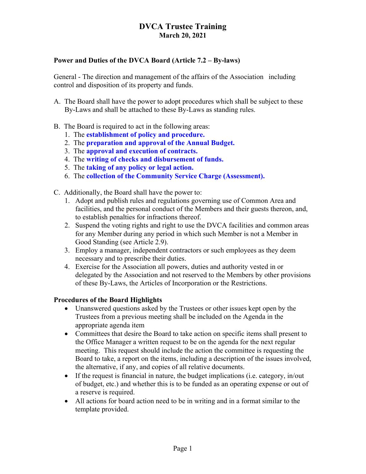### Power and Duties of the DVCA Board (Article 7.2 – By-laws)

General - The direction and management of the affairs of the Association including control and disposition of its property and funds.

- A. The Board shall have the power to adopt procedures which shall be subject to these By-Laws and shall be attached to these By-Laws as standing rules.
- B. The Board is required to act in the following areas:
	- 1. The establishment of policy and procedure.
	- 2. The preparation and approval of the Annual Budget.
	- 3. The approval and execution of contracts.
	- 4. The writing of checks and disbursement of funds.
	- 5. The taking of any policy or legal action.
	- 6. The collection of the Community Service Charge (Assessment).
- C. Additionally, the Board shall have the power to:
	- 1. Adopt and publish rules and regulations governing use of Common Area and facilities, and the personal conduct of the Members and their guests thereon, and, to establish penalties for infractions thereof.
	- 2. Suspend the voting rights and right to use the DVCA facilities and common areas for any Member during any period in which such Member is not a Member in Good Standing (see Article 2.9).
	- 3. Employ a manager, independent contractors or such employees as they deem necessary and to prescribe their duties.
	- 4. Exercise for the Association all powers, duties and authority vested in or delegated by the Association and not reserved to the Members by other provisions of these By-Laws, the Articles of Incorporation or the Restrictions.

### Procedures of the Board Highlights

- Unanswered questions asked by the Trustees or other issues kept open by the Trustees from a previous meeting shall be included on the Agenda in the appropriate agenda item
- Committees that desire the Board to take action on specific items shall present to the Office Manager a written request to be on the agenda for the next regular meeting. This request should include the action the committee is requesting the Board to take, a report on the items, including a description of the issues involved, the alternative, if any, and copies of all relative documents.
- If the request is financial in nature, the budget implications (i.e. category, in/out of budget, etc.) and whether this is to be funded as an operating expense or out of a reserve is required.
- All actions for board action need to be in writing and in a format similar to the template provided.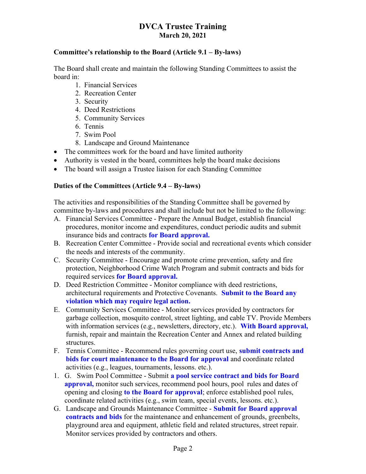#### Committee's relationship to the Board (Article 9.1 – By-laws)

The Board shall create and maintain the following Standing Committees to assist the board in:

- 1. Financial Services
- 2. Recreation Center
- 3. Security
- 4. Deed Restrictions
- 5. Community Services
- 6. Tennis
- 7. Swim Pool
- 8. Landscape and Ground Maintenance
- The committees work for the board and have limited authority
- Authority is vested in the board, committees help the board make decisions
- The board will assign a Trustee liaison for each Standing Committee

#### Duties of the Committees (Article 9.4 – By-laws)

The activities and responsibilities of the Standing Committee shall be governed by committee by-laws and procedures and shall include but not be limited to the following:

- A. Financial Services Committee Prepare the Annual Budget, establish financial procedures, monitor income and expenditures, conduct periodic audits and submit insurance bids and contracts for Board approval.
- B. Recreation Center Committee Provide social and recreational events which consider the needs and interests of the community.
- C. Security Committee Encourage and promote crime prevention, safety and fire protection, Neighborhood Crime Watch Program and submit contracts and bids for required services for Board approval.
- D. Deed Restriction Committee Monitor compliance with deed restrictions, architectural requirements and Protective Covenants. Submit to the Board any violation which may require legal action.
- E. Community Services Committee Monitor services provided by contractors for garbage collection, mosquito control, street lighting, and cable TV. Provide Members with information services (e.g., newsletters, directory, etc.). With Board approval, furnish, repair and maintain the Recreation Center and Annex and related building structures.
- F. Tennis Committee Recommend rules governing court use, submit contracts and bids for court maintenance to the Board for approval and coordinate related activities (e.g., leagues, tournaments, lessons. etc.).
- 1. G. Swim Pool Committee Submit a pool service contract and bids for Board approval, monitor such services, recommend pool hours, pool rules and dates of opening and closing to the Board for approval; enforce established pool rules, coordinate related activities (e.g., swim team, special events, lessons. etc.).
- G. Landscape and Grounds Maintenance Committee Submit for Board approval contracts and bids for the maintenance and enhancement of grounds, greenbelts, playground area and equipment, athletic field and related structures, street repair. Monitor services provided by contractors and others.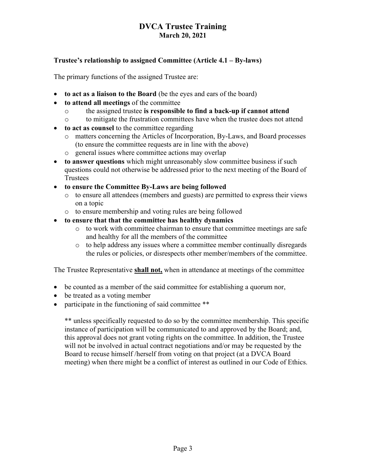### Trustee's relationship to assigned Committee (Article 4.1 – By-laws)

The primary functions of the assigned Trustee are:

- to act as a liaison to the Board (be the eyes and ears of the board)
- to attend all meetings of the committee
	- o the assigned trustee is responsible to find a back-up if cannot attend
	- o to mitigate the frustration committees have when the trustee does not attend
- to act as counsel to the committee regarding
	- o matters concerning the Articles of Incorporation, By-Laws, and Board processes (to ensure the committee requests are in line with the above)
	- o general issues where committee actions may overlap
- to answer questions which might unreasonably slow committee business if such questions could not otherwise be addressed prior to the next meeting of the Board of Trustees
- to ensure the Committee By-Laws are being followed
	- o to ensure all attendees (members and guests) are permitted to express their views on a topic
	- o to ensure membership and voting rules are being followed
- to ensure that that the committee has healthy dynamics
	- o to work with committee chairman to ensure that committee meetings are safe and healthy for all the members of the committee
	- o to help address any issues where a committee member continually disregards the rules or policies, or disrespects other member/members of the committee.

The Trustee Representative shall not, when in attendance at meetings of the committee

- be counted as a member of the said committee for establishing a quorum nor,
- be treated as a voting member
- participate in the functioning of said committee \*\*

\*\* unless specifically requested to do so by the committee membership. This specific instance of participation will be communicated to and approved by the Board; and, this approval does not grant voting rights on the committee. In addition, the Trustee will not be involved in actual contract negotiations and/or may be requested by the Board to recuse himself /herself from voting on that project (at a DVCA Board meeting) when there might be a conflict of interest as outlined in our Code of Ethics.